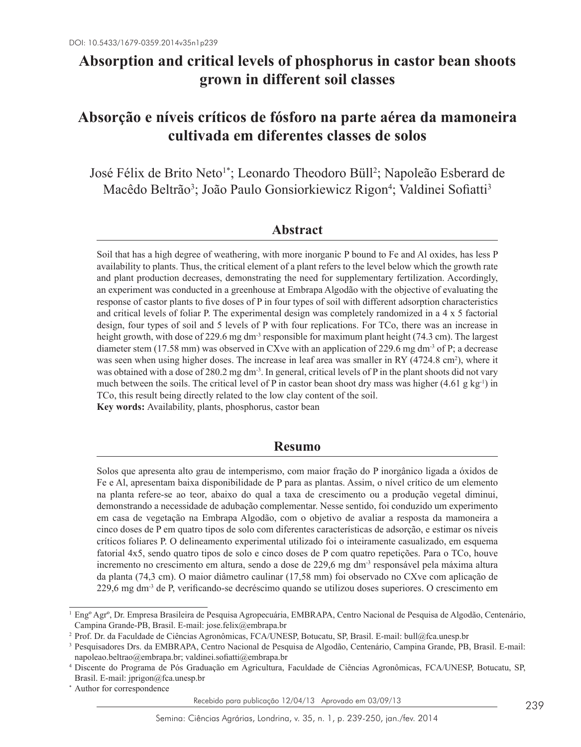# **Absorption and critical levels of phosphorus in castor bean shoots grown in different soil classes**

# **Absorção e níveis críticos de fósforo na parte aérea da mamoneira cultivada em diferentes classes de solos**

José Félix de Brito Neto<sup>1\*</sup>; Leonardo Theodoro Büll<sup>2</sup>; Napoleão Esberard de Macêdo Beltrão<sup>3</sup>; João Paulo Gonsiorkiewicz Rigon<sup>4</sup>; Valdinei Sofiatti<sup>3</sup>

# **Abstract**

Soil that has a high degree of weathering, with more inorganic P bound to Fe and Al oxides, has less P availability to plants. Thus, the critical element of a plant refers to the level below which the growth rate and plant production decreases, demonstrating the need for supplementary fertilization. Accordingly, an experiment was conducted in a greenhouse at Embrapa Algodão with the objective of evaluating the response of castor plants to five doses of P in four types of soil with different adsorption characteristics and critical levels of foliar P. The experimental design was completely randomized in a 4 x 5 factorial design, four types of soil and 5 levels of P with four replications. For TCo, there was an increase in height growth, with dose of 229.6 mg dm<sup>-3</sup> responsible for maximum plant height (74.3 cm). The largest diameter stem (17.58 mm) was observed in CXve with an application of 229.6 mg dm-3 of P; a decrease was seen when using higher doses. The increase in leaf area was smaller in RY (4724.8 cm<sup>2</sup>), where it was obtained with a dose of 280.2 mg dm<sup>-3</sup>. In general, critical levels of P in the plant shoots did not vary much between the soils. The critical level of P in castor bean shoot dry mass was higher (4.61 g kg<sup>-1</sup>) in TCo, this result being directly related to the low clay content of the soil. **Key words:** Availability, plants, phosphorus, castor bean

# **Resumo**

Solos que apresenta alto grau de intemperismo, com maior fração do P inorgânico ligada a óxidos de Fe e Al, apresentam baixa disponibilidade de P para as plantas. Assim, o nível crítico de um elemento na planta refere-se ao teor, abaixo do qual a taxa de crescimento ou a produção vegetal diminui, demonstrando a necessidade de adubação complementar. Nesse sentido, foi conduzido um experimento em casa de vegetação na Embrapa Algodão, com o objetivo de avaliar a resposta da mamoneira a cinco doses de P em quatro tipos de solo com diferentes características de adsorção, e estimar os níveis críticos foliares P. O delineamento experimental utilizado foi o inteiramente casualizado, em esquema fatorial 4x5, sendo quatro tipos de solo e cinco doses de P com quatro repetições. Para o TCo, houve incremento no crescimento em altura, sendo a dose de 229,6 mg dm-3 responsável pela máxima altura da planta (74,3 cm). O maior diâmetro caulinar (17,58 mm) foi observado no CXve com aplicação de 229,6 mg dm-3 de P, verificando-se decréscimo quando se utilizou doses superiores. O crescimento em

<sup>1</sup> Engº Agrº, Dr. Empresa Brasileira de Pesquisa Agropecuária, EMBRAPA, Centro Nacional de Pesquisa de Algodão, Centenário, Campina Grande-PB, Brasil. E-mail: jose.felix@embrapa.br

<sup>2</sup> Prof. Dr. da Faculdade de Ciências Agronômicas, FCA/UNESP, Botucatu, SP, Brasil. E-mail: bull@fca.unesp.br

<sup>3</sup> Pesquisadores Drs. da EMBRAPA, Centro Nacional de Pesquisa de Algodão, Centenário, Campina Grande, PB, Brasil. E-mail: napoleao.beltrao@embrapa.br; valdinei.sofiatti@embrapa.br

<sup>4</sup> Discente do Programa de Pós Graduação em Agricultura, Faculdade de Ciências Agronômicas, FCA/UNESP, Botucatu, SP, Brasil. E-mail: jprigon@fca.unesp.br

<sup>\*</sup> Author for correspondence

Recebido para publicação 12/04/13 Aprovado em 03/09/13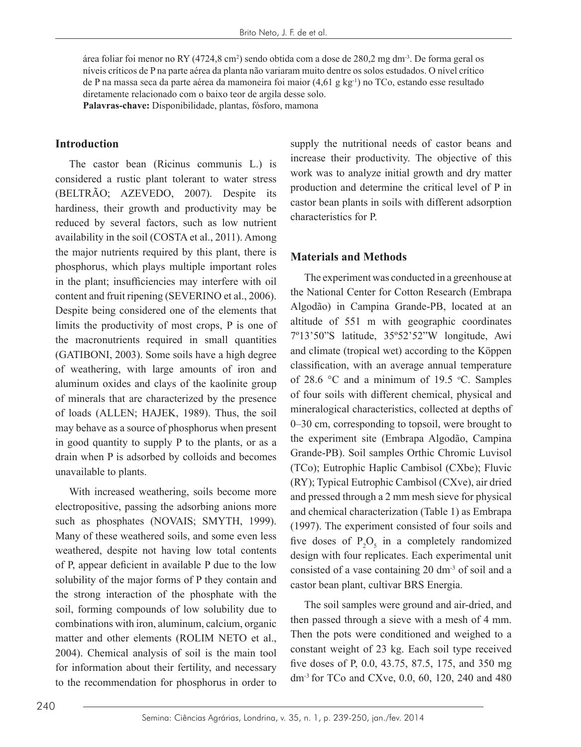área foliar foi menor no RY (4724,8 cm<sup>2</sup>) sendo obtida com a dose de 280,2 mg dm<sup>-3</sup>. De forma geral os níveis críticos de P na parte aérea da planta não variaram muito dentre os solos estudados. O nível crítico de P na massa seca da parte aérea da mamoneira foi maior  $(4.61 \text{ g kg}^{-1})$  no TCo, estando esse resultado diretamente relacionado com o baixo teor de argila desse solo.

**Palavras-chave:** Disponibilidade, plantas, fósforo, mamona

#### **Introduction**

The castor bean (Ricinus communis L.) is considered a rustic plant tolerant to water stress (BELTRÃO; AZEVEDO, 2007). Despite its hardiness, their growth and productivity may be reduced by several factors, such as low nutrient availability in the soil (COSTA et al., 2011). Among the major nutrients required by this plant, there is phosphorus, which plays multiple important roles in the plant; insufficiencies may interfere with oil content and fruit ripening (SEVERINO et al., 2006). Despite being considered one of the elements that limits the productivity of most crops, P is one of the macronutrients required in small quantities (GATIBONI, 2003). Some soils have a high degree of weathering, with large amounts of iron and aluminum oxides and clays of the kaolinite group of minerals that are characterized by the presence of loads (ALLEN; HAJEK, 1989). Thus, the soil may behave as a source of phosphorus when present in good quantity to supply P to the plants, or as a drain when P is adsorbed by colloids and becomes unavailable to plants.

With increased weathering, soils become more electropositive, passing the adsorbing anions more such as phosphates (NOVAIS; SMYTH, 1999). Many of these weathered soils, and some even less weathered, despite not having low total contents of P, appear deficient in available P due to the low solubility of the major forms of P they contain and the strong interaction of the phosphate with the soil, forming compounds of low solubility due to combinations with iron, aluminum, calcium, organic matter and other elements (ROLIM NETO et al., 2004). Chemical analysis of soil is the main tool for information about their fertility, and necessary to the recommendation for phosphorus in order to supply the nutritional needs of castor beans and increase their productivity. The objective of this work was to analyze initial growth and dry matter production and determine the critical level of P in castor bean plants in soils with different adsorption characteristics for P.

## **Materials and Methods**

The experiment was conducted in a greenhouse at the National Center for Cotton Research (Embrapa Algodão) in Campina Grande-PB, located at an altitude of 551 m with geographic coordinates 7º13'50"S latitude, 35º52'52"W longitude, Awi and climate (tropical wet) according to the Köppen classification, with an average annual temperature of 28.6  $\degree$ C and a minimum of 19.5  $\degree$ C. Samples of four soils with different chemical, physical and mineralogical characteristics, collected at depths of 0–30 cm, corresponding to topsoil, were brought to the experiment site (Embrapa Algodão, Campina Grande-PB). Soil samples Orthic Chromic Luvisol (TCo); Eutrophic Haplic Cambisol (CXbe); Fluvic (RY); Typical Eutrophic Cambisol (CXve), air dried and pressed through a 2 mm mesh sieve for physical and chemical characterization (Table 1) as Embrapa (1997). The experiment consisted of four soils and five doses of  $P_2O_5$  in a completely randomized design with four replicates. Each experimental unit consisted of a vase containing 20 dm-3 of soil and a castor bean plant, cultivar BRS Energia.

The soil samples were ground and air-dried, and then passed through a sieve with a mesh of 4 mm. Then the pots were conditioned and weighed to a constant weight of 23 kg. Each soil type received five doses of P, 0.0, 43.75, 87.5, 175, and 350 mg dm-3 for TCo and CXve, 0.0, 60, 120, 240 and 480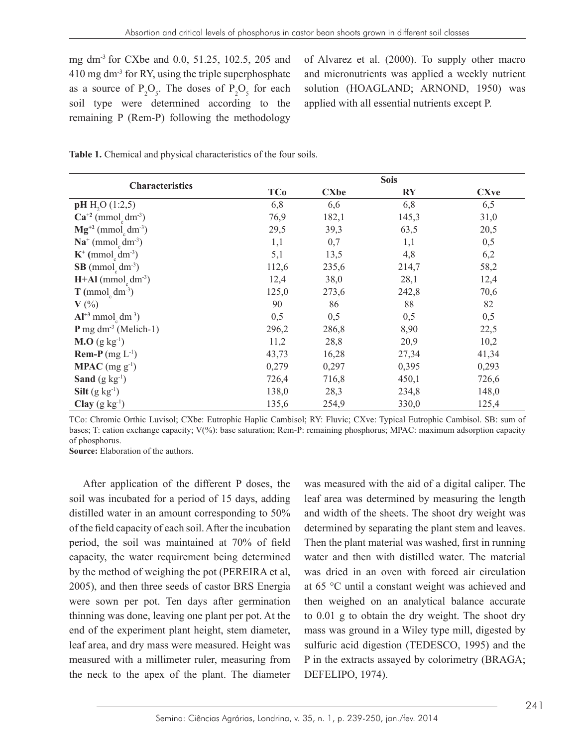mg dm-3 for CXbe and 0.0, 51.25, 102.5, 205 and 410 mg dm-3 for RY, using the triple superphosphate as a source of  $P_2O_5$ . The doses of  $P_2O_5$  for each soil type were determined according to the remaining P (Rem-P) following the methodology

of Alvarez et al. (2000). To supply other macro and micronutrients was applied a weekly nutrient solution (HOAGLAND; ARNOND, 1950) was applied with all essential nutrients except P.

Table 1. Chemical and physical characteristics of the four soils.

| <b>Characteristics</b>                                           | <b>Sois</b> |             |                        |             |
|------------------------------------------------------------------|-------------|-------------|------------------------|-------------|
|                                                                  | <b>TCo</b>  | <b>CXbe</b> | $\mathbf{R}\mathbf{Y}$ | <b>CXve</b> |
| pH H <sub>2</sub> O (1:2,5)                                      | 6,8         | 6,6         | 6,8                    | 6,5         |
| $Ca^{+2}$ (mmol <sub>c</sub> dm <sup>-3</sup> )                  | 76,9        | 182,1       | 145,3                  | 31,0        |
| $Mg^{+2}$ (mmol <sub>c</sub> dm <sup>-3</sup> )                  | 29,5        | 39,3        | 63,5                   | 20,5        |
| $\mathbf{Na}^+$ (mmol <sub>c</sub> dm <sup>-3</sup> )            | 1,1         | 0,7         | 1,1                    | 0,5         |
| $K^+$ (mmol <sub>c</sub> dm <sup>-3</sup> )                      | 5,1         | 13,5        | 4,8                    | 6,2         |
| $SB$ (mmol <sub>c</sub> dm <sup>-3</sup> )                       | 112,6       | 235,6       | 214,7                  | 58,2        |
| $H+AI$ (mmol <sub>c</sub> dm <sup>-3</sup> )                     | 12,4        | 38,0        | 28,1                   | 12,4        |
| $T$ (mmol <sub>c</sub> dm <sup>-3</sup> )                        | 125,0       | 273,6       | 242,8                  | 70,6        |
| $V(\%)$                                                          | 90          | 86          | 88                     | 82          |
| $Al^{+3}$ mmol <sub><math>\sigma</math></sub> dm <sup>-3</sup> ) | 0,5         | 0,5         | 0,5                    | 0,5         |
| $P$ mg dm <sup>-3</sup> (Melich-1)                               | 296,2       | 286,8       | 8,90                   | 22,5        |
| <b>M.O</b> (g kg <sup>-1</sup> )                                 | 11,2        | 28,8        | 20,9                   | 10,2        |
| <b>Rem-P</b> (mg $L^{-1}$ )                                      | 43,73       | 16,28       | 27,34                  | 41,34       |
| <b>MPAC</b> (mg $g^{-1}$ )                                       | 0,279       | 0,297       | 0,395                  | 0,293       |
| Sand $(g \, kg^{-1})$                                            | 726,4       | 716,8       | 450,1                  | 726,6       |
| Silt $(g \ kg^{-1})$                                             | 138,0       | 28,3        | 234,8                  | 148,0       |
| Clay $(g \ kg^{-1})$                                             | 135,6       | 254,9       | 330,0                  | 125,4       |

TCo: Chromic Orthic Luvisol; CXbe: Eutrophic Haplic Cambisol; RY: Fluvic; CXve: Typical Eutrophic Cambisol. SB: sum of bases; T: cation exchange capacity; V(%): base saturation; Rem-P: remaining phosphorus; MPAC: maximum adsorption capacity of phosphorus.

**Source:** Elaboration of the authors.

After application of the different P doses, the soil was incubated for a period of 15 days, adding distilled water in an amount corresponding to 50% of the field capacity of each soil. After the incubation period, the soil was maintained at 70% of field capacity, the water requirement being determined by the method of weighing the pot (PEREIRA et al, 2005), and then three seeds of castor BRS Energia were sown per pot. Ten days after germination thinning was done, leaving one plant per pot. At the end of the experiment plant height, stem diameter, leaf area, and dry mass were measured. Height was measured with a millimeter ruler, measuring from the neck to the apex of the plant. The diameter

was measured with the aid of a digital caliper. The leaf area was determined by measuring the length and width of the sheets. The shoot dry weight was determined by separating the plant stem and leaves. Then the plant material was washed, first in running water and then with distilled water. The material was dried in an oven with forced air circulation at 65 °C until a constant weight was achieved and then weighed on an analytical balance accurate to 0.01 g to obtain the dry weight. The shoot dry mass was ground in a Wiley type mill, digested by sulfuric acid digestion (TEDESCO, 1995) and the P in the extracts assayed by colorimetry (BRAGA; DEFELIPO, 1974).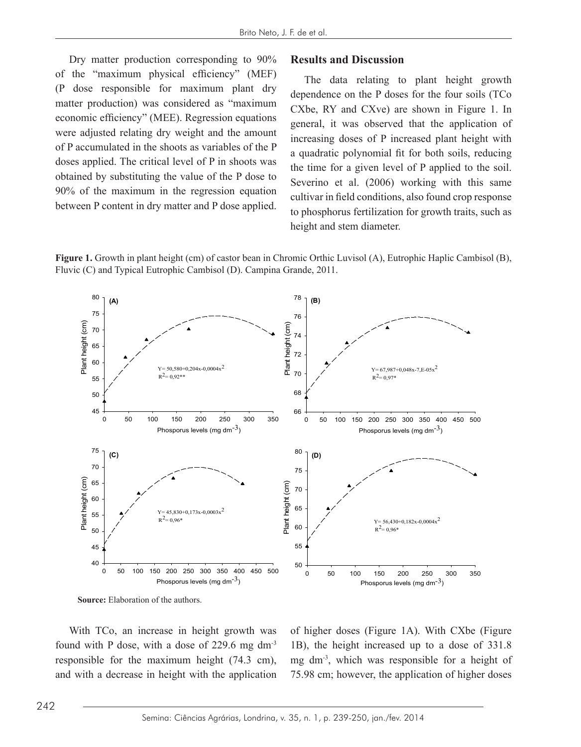Dry matter production corresponding to 90% Results and Discussion of the "maximum physical efficiency" (MEF) (P dose responsible for maximum plant dry  $\frac{1}{2}$  matter production) was considered as "maximum" economic efficiency" (MEE). Regression equations were adjusted relating dry weight and the amount of P accumulated in the shoots as variables of the P doses applied. The critical level of P in shoots was obtained by substituting the value of the P dose to 90% of the maximum in the regression equation between P content in dry matter and P dose applied.  $\frac{1}{2}$  to phosphorus fertilization for growth traits, such

### **Results and Discussion**

 $\frac{1}{2}$  maximum physical emerging  $\frac{1}{2}$  (MLT) The data relating to plant height growth dependence on the P doses for the four soils (TCo CXbe, RY and CXve) are shown in Figure 1. In general, it was observed that the application of increasing doses of P increased plant height with a quadratic polynomial fit for both soils, reducing The data relating to plant height growth dependence on the P doses for the four soils (TCo CXbe,  $\epsilon$  applied. The efficial fever of  $\epsilon$  in shoots was the time for a given level of P applied to the soil. Experiment by substituting the value of the  $\overline{1}$  dose to Severino et al. (2006) working with this same cultivar in field conditions, also found crop response to phosphorus fertilization for growth traits, such as height and stem diameter. crop response to phosphorus fertilization for growth traits, such as height and stem diameter.





**Source:** Elaboration of the authors. **Source:** Elaboration of the authors.

With TCo, an increase in height growth was found with P dose, with a dose of 229.6 mg dm-3 responsible for the maximum height (74.3 cm), and with a decrease in height with the application of higher doses (Figure 1A). With CXbe (Figure 1B), the height increased up to a dose of 331.8 mg dm-3, which was responsible for a height of 75.98 cm; however, the application of higher doses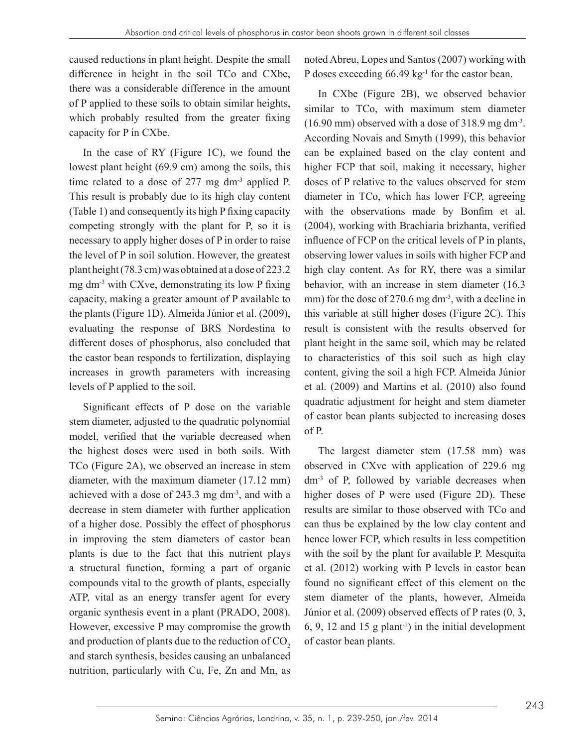caused reductions in plant height. Despite the small difference in height in the soil TCo and CXbe, there was a considerable difference in the amount of P applied to these soils to obtain similar heights, which probably resulted from the greater fixing capacity for P in CXbe.

In the case of RY (Figure 1C), we found the lowest plant height (69.9 cm) among the soils, this time related to a dose of  $277$  mg dm<sup>-3</sup> applied P. This result is probably due to its high clay content (Table 1) and consequently its high P fixing capacity competing strongly with the plant for P, so it is necessary to apply higher doses of P in order to raise the level of P in soil solution. However, the greatest plant height (78.3 cm) was obtained at a dose of 223.2 mg dm-3 with CXve, demonstrating its low P fixing capacity, making a greater amount of P available to the plants (Figure 1D). Almeida Júnior et al. (2009), evaluating the response of BRS Nordestina to different doses of phosphorus, also concluded that the castor bean responds to fertilization, displaying increases in growth parameters with increasing levels of P applied to the soil.

Significant effects of P dose on the variable stem diameter, adjusted to the quadratic polynomial model, verified that the variable decreased when the highest doses were used in both soils. With TCo (Figure 2A), we observed an increase in stem diameter, with the maximum diameter (17.12 mm) achieved with a dose of 243.3 mg dm-3, and with a decrease in stem diameter with further application of a higher dose. Possibly the effect of phosphorus in improving the stem diameters of castor bean plants is due to the fact that this nutrient plays a structural function, forming a part of organic compounds vital to the growth of plants, especially ATP, vital as an energy transfer agent for every organic synthesis event in a plant (PRADO, 2008). However, excessive P may compromise the growth and production of plants due to the reduction of  $CO<sub>2</sub>$ and starch synthesis, besides causing an unbalanced nutrition, particularly with Cu, Fe, Zn and Mn, as noted Abreu, Lopes and Santos (2007) working with P doses exceeding 66.49 kg<sup>-1</sup> for the castor bean.

In CXbe (Figure 2B), we observed behavior similar to TCo, with maximum stem diameter  $(16.90 \text{ mm})$  observed with a dose of 318.9 mg dm<sup>-3</sup>. According Novais and Smyth (1999), this behavior can be explained based on the clay content and higher FCP that soil, making it necessary, higher doses of P relative to the values observed for stem diameter in TCo, which has lower FCP, agreeing with the observations made by Bonfim et al. (2004), working with Brachiaria brizhanta, verified influence of FCP on the critical levels of P in plants, observing lower values in soils with higher FCP and high clay content. As for RY, there was a similar behavior, with an increase in stem diameter (16.3 mm) for the dose of 270.6 mg dm<sup>-3</sup>, with a decline in this variable at still higher doses (Figure 2C). This result is consistent with the results observed for plant height in the same soil, which may be related to characteristics of this soil such as high clay content, giving the soil a high FCP. Almeida Júnior et al. (2009) and Martins et al. (2010) also found quadratic adjustment for height and stem diameter of castor bean plants subjected to increasing doses of P.

The largest diameter stem (17.58 mm) was observed in CXve with application of 229.6 mg dm-3 of P, followed by variable decreases when higher doses of P were used (Figure 2D). These results are similar to those observed with TCo and can thus be explained by the low clay content and hence lower FCP, which results in less competition with the soil by the plant for available P. Mesquita et al. (2012) working with P levels in castor bean found no significant effect of this element on the stem diameter of the plants, however, Almeida Júnior et al. (2009) observed effects of P rates (0, 3, 6, 9, 12 and 15 g plant<sup>-1</sup>) in the initial development of castor bean plants.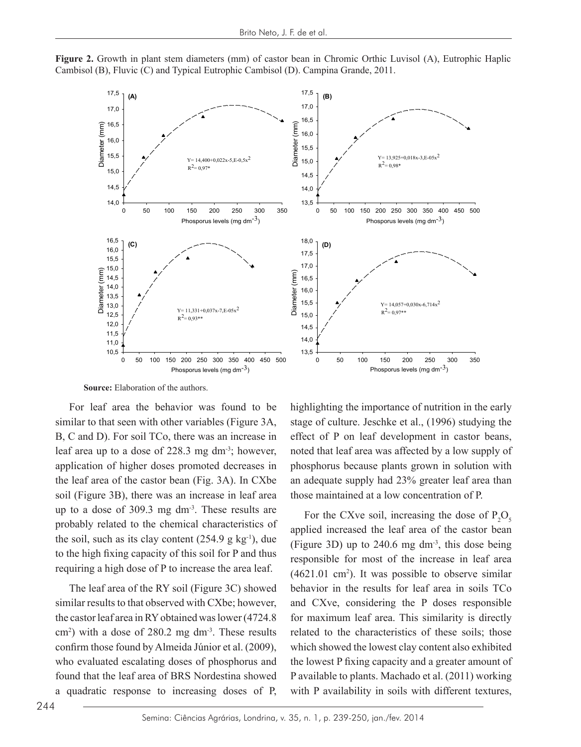

**Figure 2.** Growth in plant stem diameters (mm) of castor bean in Chromic Orthic Luvisol (A), Eutrophic Haplic Cambisol (B), Fluvic (C) and Typical Eutrophic Cambisol (D). Campina Grande, 2011. **Figure 2.** Growth in plant stem diameters (mm) of castor bean in Chromic Orthic Luvisol (A), Eutrophic Growth in plant stem diameters (mm) of castor bean in Chromic Orthic Luvisol  $(A)$ , E

**Source:** Elaboration of the authors. **Source:** Elaboration of the authors.

up to a dose of 309.3 mg dm<sup>-3</sup>. These results are<br>Equation the  $\alpha$ probably related to the chemical characteristics of  $\frac{1}{2}$  annihilation respects the leaf area of the castor be the soil, such as its clay content  $(254.9 \text{ g kg}^{-1})$ , due  $\frac{appricu \text{ increase}}{(\text{Figure 3D})}$ For leaf area the behavior was found to be similar to that seen with other variables (Figure 3A, B, C and D). For soil TCo, there was an increase in leaf area up to a dose of 228.3 mg dm-3; however, application of higher doses promoted decreases in the leaf area of the castor bean (Fig. 3A). In CXbe soil (Figure 3B), there was an increase in leaf area to the high fixing capacity of this soil for P and thus requiring a high dose of P to increase the area leaf.

The leaf area of the RY soil (Figure 3C) showed similar results to that observed with CXbe; however, the castor leaf area in RY obtained was lower (4724.8  $\text{cm}^2$ ) with a dose of 280.2 mg dm<sup>-3</sup>. These results confirm those found by Almeida Júnior et al. (2009), who evaluated escalating doses of phosphorus and found that the leaf area of BRS Nordestina showed a quadratic response to increasing doses of P,

n with other variables (Figure 3A, stage of culture. Jeschke et al., (1996) studying the D). For soil TCo, there was an increase in effect of P on leaf development in castor beans, up to a dose of 228.3 mg dm<sup>-3</sup>; however, noted that leaf area was affected by a low supply of on of higher doses promoted decreases in phosphorus because plants grown in solution with  $\frac{1}{2}$ The solution of the solution characteristics of the solution of the solution of the solution of the solution of  $P$ . highlighting the importance of nutrition in the early an adequate supply had 23% greater leaf area than

> applied increased the leaf area of the castor bean For the CXve soil, increasing the dose of  $P_2O_5$ (Figure 3D) up to 240.6 mg dm-3, this dose being responsible for most of the increase in leaf area  $(4621.01 \text{ cm}^2)$ . It was possible to observe similar behavior in the results for leaf area in soils TCo and CXve, considering the P doses responsible for maximum leaf area. This similarity is directly related to the characteristics of these soils; those which showed the lowest clay content also exhibited the lowest P fixing capacity and a greater amount of P available to plants. Machado et al. (2011) working with P availability in soils with different textures,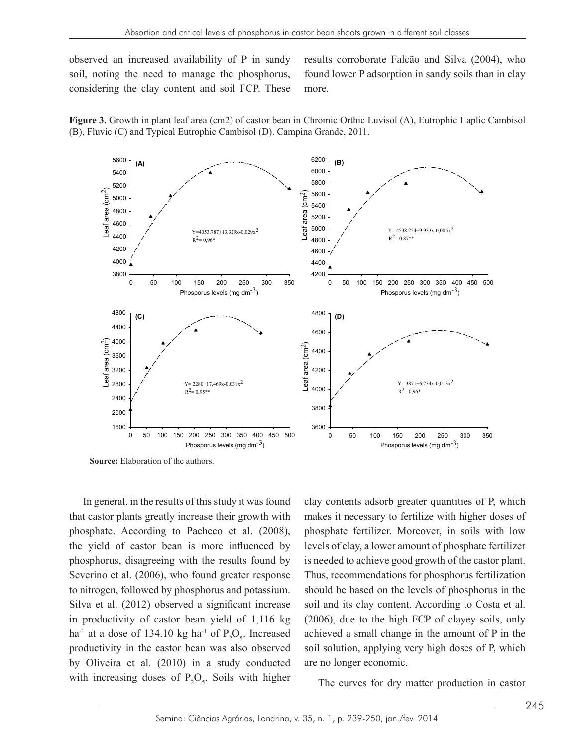observed an increased availability of P in sandy results corroborate Falcão and Silva (2004) soil, noting the need to manage the phosphorus, found lower P adsorption in sandy soils than i considering the clay content and soil FCP. These more.

results corroborate Falcão and Silva (2004), who found lower P adsorption in sandy soils than in clay more.





**Source:** Elaboration of the authors.

In general, in the results of this study it was found that castor plants greatly increase their growth with phosphate. According to Pacheco et al. (2008), the yield of castor bean is more influenced by phosphorus, disagreeing with the results found by Severino et al. (2006), who found greater response to nitrogen, followed by phosphorus and potassium. Silva et al. (2012) observed a significant increase in productivity of castor bean yield of 1,116 kg ha<sup>-1</sup> at a dose of 134.10 kg ha<sup>-1</sup> of  $P_2O_5$ . Increased productivity in the castor bean was also observed by Oliveira et al. (2010) in a study conducted with increasing doses of  $P_2O_5$ . Soils with higher clay contents adsorb greater quantities of P, which makes it necessary to fertilize with higher doses of phosphate fertilizer. Moreover, in soils with low levels of clay, a lower amount of phosphate fertilizer is needed to achieve good growth of the castor plant. Thus, recommendations for phosphorus fertilization should be based on the levels of phosphorus in the soil and its clay content. According to Costa et al. (2006), due to the high FCP of clayey soils, only achieved a small change in the amount of P in the soil solution, applying very high doses of P, which are no longer economic.

The curves for dry matter production in castor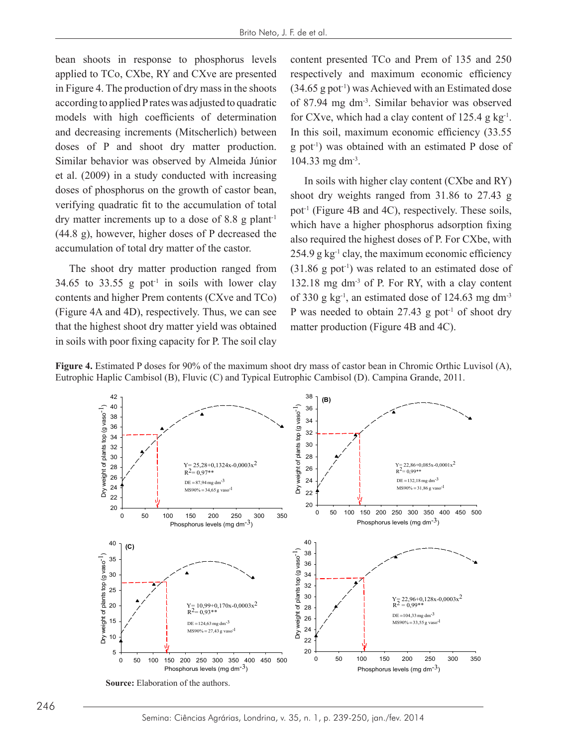bean shoots in response to phosphorus levels applied to TCo, CXbe, RY and CXve are presented in Figure 4. The production of dry mass in the shoots according to applied P rates was adjusted to quadratic models with high coefficients of determination and decreasing increments (Mitscherlich) between doses of P and shoot dry matter production. Similar behavior was observed by Almeida Júnior et al. (2009) in a study conducted with increasing doses of phosphorus on the growth of castor bean, verifying quadratic fit to the accumulation of total dry matter increments up to a dose of 8.8 g plant<sup>-1</sup> (44.8 g), however, higher doses of P decreased the accumulation of total dry matter of the castor.

The shoot dry matter production ranged from 34.65 to 33.55 g pot<sup>-1</sup> in soils with lower clay contents and higher Prem contents (CXve and TCo) (Figure 4A and 4D), respectively. Thus, we can see  $\blacksquare$  P was needed to obtain 27.4 that the highest shoot dry matter yield was obtained in soils with poor fixing capacity for P. The soil clay

content presented TCo and Prem of 135 and 250 respectively and maximum economic efficiency  $(34.65 \text{ g pot}^{-1})$  was Achieved with an Estimated dose of 87.94 mg dm-3. Similar behavior was observed for CXve, which had a clay content of  $125.4$  g kg<sup>-1</sup>. In this soil, maximum economic efficiency (33.55 g pot-1) was obtained with an estimated P dose of 104.33 mg dm-3.

In soils with higher clay content (CXbe and RY) shoot dry weights ranged from 31.86 to 27.43 g pot<sup>-1</sup> (Figure 4B and 4C), respectively. These soils, which have a higher phosphorus adsorption fixing also required the highest doses of P. For CXbe, with  $254.9$  g kg<sup>-1</sup> clay, the maximum economic efficiency  $(31.86 \text{ g }$  pot<sup>-1</sup>) was related to an estimated dose of 33.55 g pot<sup>1</sup> in soils with lower clay 132.18 mg dm<sup>-3</sup> of P. For RY, with a clay content and higher Prem contents (CXve and TCo) of 330 g  $kg<sup>-1</sup>$ , an estimated dose of 124.63 mg dm<sup>-3</sup> P was needed to obtain  $27.43$  g pot<sup>-1</sup> of shoot dry matter production (Figure 4B and 4C).



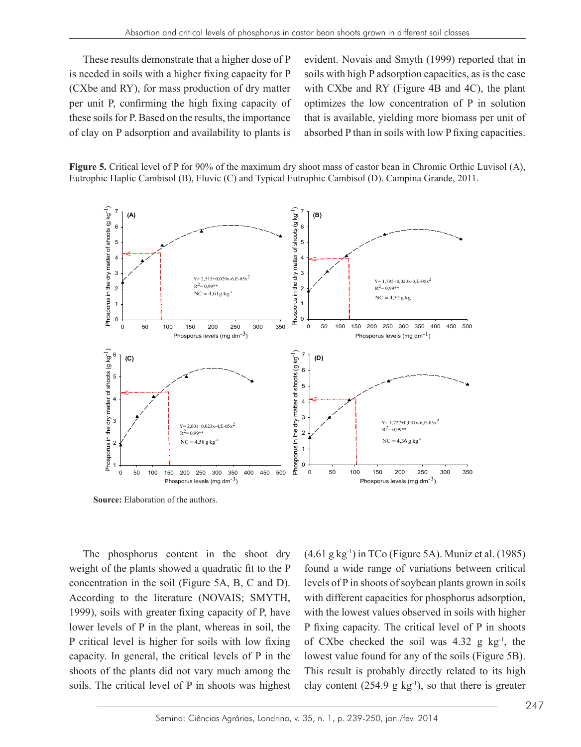These results demonstrate that a higher dose of P evident is needed in soils with a higher fixing capacity for P (CXbe and RY), for mass production of dry matter with CXbe and RY (Figure 4B and 4C), per unit P, confirming the high fixing capacity of optimizes the low concentration of P in these soils for P. Based on the results, the importance that is available, yielding more biomass p of clay on P adsorption and availability to plants is

evident. Novais and Smyth (1999) reported that in Is with a higher fixing capacity for P soils with high P adsorption capacities, as is the case with CXbe and RY (Figure 4B and 4C), the plant optimizes the low concentration of P in solution that is available, yielding more biomass per unit of absorbed P than in soils with low P fixing capacities.





**Source:** Elaboration of the authors. **Source:** Elaboration of the authors.

The phosphorus content in the shoot dry weight of the plants showed a quadratic fit to the P concentration in the soil (Figure 5A, B, C and D). According to the literature (NOVAIS; SMYTH, 1999), soils with greater fixing capacity of P, have lower levels of P in the plant, whereas in soil, the P critical level is higher for soils with low fixing capacity. In general, the critical levels of P in the shoots of the plants did not vary much among the soils. The critical level of P in shoots was highest

horus content in the shoot dry  $(4.61 \text{ g kg}^{-1})$  in TCo (Figure 5A). Muniz et al. (1985) found a wide range of variations between critical levels of P in shoots of soybean plants grown in soils with different capacities for phosphorus adsorption, with the lowest values observed in soils with higher P fixing capacity. The critical level of P in shoots of CXbe checked the soil was  $4.32$  g kg<sup>-1</sup>, the lowest value found for any of the soils (Figure 5B). This result is probably directly related to its high clay content (254.9 g  $kg^{-1}$ ), so that there is greater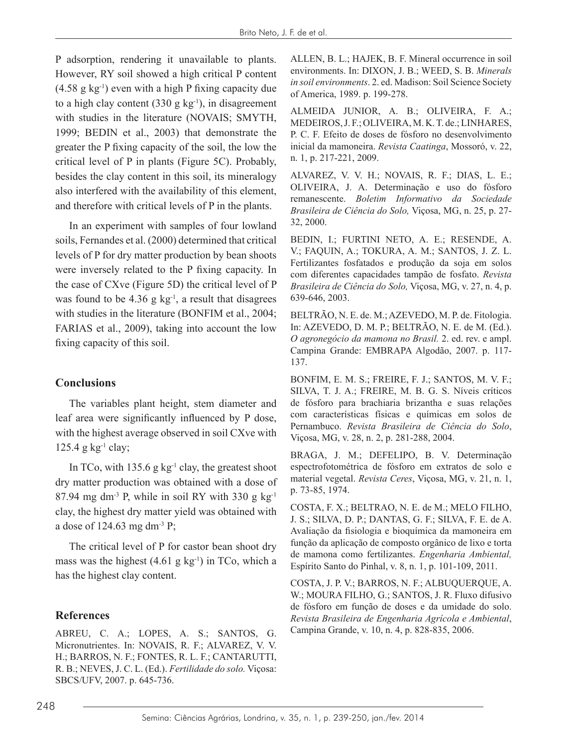P adsorption, rendering it unavailable to plants. However, RY soil showed a high critical P content  $(4.58 \text{ g kg}^{-1})$  even with a high P fixing capacity due to a high clay content  $(330 \text{ g kg}^{-1})$ , in disagreement with studies in the literature (NOVAIS; SMYTH, 1999; BEDIN et al., 2003) that demonstrate the greater the P fixing capacity of the soil, the low the critical level of P in plants (Figure 5C). Probably, besides the clay content in this soil, its mineralogy also interfered with the availability of this element, and therefore with critical levels of P in the plants.

In an experiment with samples of four lowland soils, Fernandes et al. (2000) determined that critical levels of P for dry matter production by bean shoots were inversely related to the P fixing capacity. In the case of CXve (Figure 5D) the critical level of P was found to be  $4.36$  g kg<sup>-1</sup>, a result that disagrees with studies in the literature (BONFIM et al., 2004; FARIAS et al., 2009), taking into account the low fixing capacity of this soil.

## **Conclusions**

The variables plant height, stem diameter and leaf area were significantly influenced by P dose, with the highest average observed in soil CXve with 125.4 g  $kg^{-1}$  clay;

In TCo, with  $135.6$  g kg<sup>-1</sup> clay, the greatest shoot dry matter production was obtained with a dose of 87.94 mg dm<sup>-3</sup> P, while in soil RY with 330 g  $kg^{-1}$ clay, the highest dry matter yield was obtained with a dose of 124.63 mg dm-3 P;

The critical level of P for castor bean shoot dry mass was the highest  $(4.61 \text{ g kg}^{-1})$  in TCo, which a has the highest clay content.

# **References**

ABREU, C. A.; LOPES, A. S.; SANTOS, G. Micronutrientes. In: NOVAIS, R. F.; ALVAREZ, V. V. H.; BARROS, N. F.; FONTES, R. L. F.; CANTARUTTI, R. B.; NEVES, J. C. L. (Ed.). *Fertilidade do solo.* Viçosa: SBCS/UFV, 2007. p. 645-736.

ALLEN, B. L.; HAJEK, B. F. Mineral occurrence in soil environments. In: DIXON, J. B.; WEED, S. B. *Minerals in soil environments*. 2. ed. Madison: Soil Science Society of America, 1989. p. 199-278.

ALMEIDA JUNIOR, A. B.; OLIVEIRA, F. A.; MEDEIROS, J. F.; OLIVEIRA, M. K. T. de.; LINHARES, P. C. F. Efeito de doses de fósforo no desenvolvimento inicial da mamoneira. *Revista Caatinga*, Mossoró, v. 22, n. 1, p. 217-221, 2009.

ALVAREZ, V. V. H.; NOVAIS, R. F.; DIAS, L. E.; OLIVEIRA, J. A. Determinação e uso do fósforo remanescente. *Boletim Informativo da Sociedade Brasileira de Ciência do Solo,* Viçosa, MG, n. 25, p. 27- 32, 2000.

BEDIN, I.; FURTINI NETO, A. E.; RESENDE, A. V.; FAQUIN, A.; TOKURA, A. M.; SANTOS, J. Z. L. Fertilizantes fosfatados e produção da soja em solos com diferentes capacidades tampão de fosfato. *Revista Brasileira de Ciência do Solo,* Viçosa, MG, v. 27, n. 4, p. 639-646, 2003.

BELTRÃO, N. E. de. M.; AZEVEDO, M. P. de. Fitologia. In: AZEVEDO, D. M. P.; BELTRÃO, N. E. de M. (Ed.). *O agronegócio da mamona no Brasil.* 2. ed. rev. e ampl. Campina Grande: EMBRAPA Algodão, 2007. p. 117- 137.

BONFIM, E. M. S.; FREIRE, F. J.; SANTOS, M. V. F.; SILVA, T. J. A.; FREIRE, M. B. G. S. Níveis críticos de fósforo para brachiaria brizantha e suas relações com características físicas e químicas em solos de Pernambuco. *Revista Brasileira de Ciência do Solo*, Viçosa, MG, v. 28, n. 2, p. 281-288, 2004.

BRAGA, J. M.; DEFELIPO, B. V. Determinação espectrofotométrica de fósforo em extratos de solo e material vegetal. *Revista Ceres*, Viçosa, MG, v. 21, n. 1, p. 73-85, 1974.

COSTA, F. X.; BELTRAO, N. E. de M.; MELO FILHO, J. S.; SILVA, D. P.; DANTAS, G. F.; SILVA, F. E. de A. Avaliação da fisiologia e bioquímica da mamoneira em função da aplicação de composto orgânico de lixo e torta de mamona como fertilizantes. *Engenharia Ambiental,* Espírito Santo do Pinhal, v. 8, n. 1, p. 101-109, 2011.

COSTA, J. P. V.; BARROS, N. F.; ALBUQUERQUE, A. W.; MOURA FILHO, G.; SANTOS, J. R. Fluxo difusivo de fósforo em função de doses e da umidade do solo. *Revista Brasileira de Engenharia Agrícola e Ambiental*, Campina Grande, v. 10, n. 4, p. 828-835, 2006.